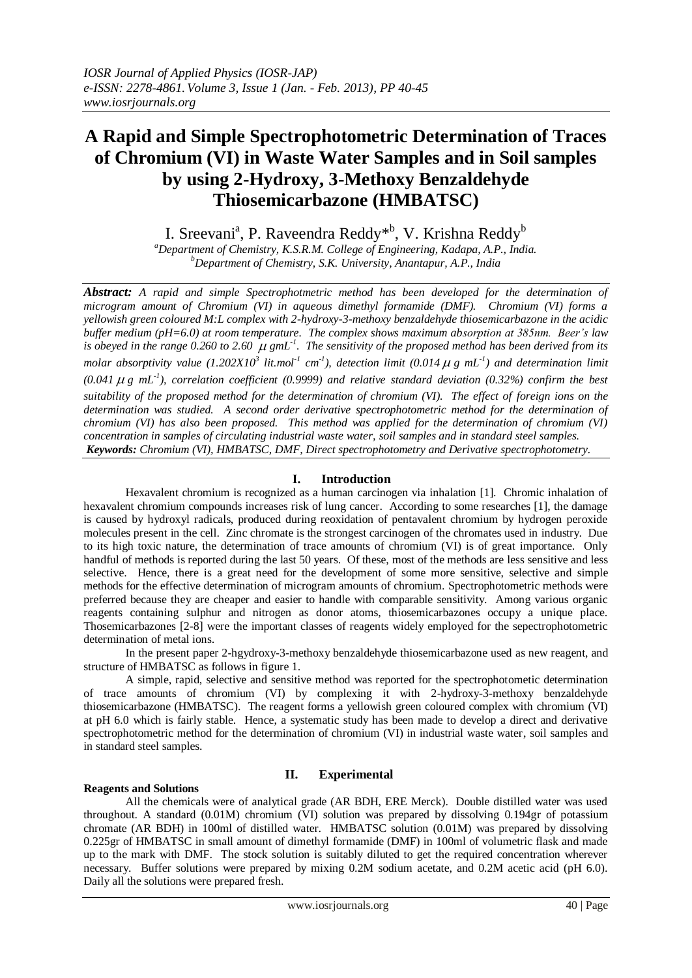# **A Rapid and Simple Spectrophotometric Determination of Traces of Chromium (VI) in Waste Water Samples and in Soil samples by using 2-Hydroxy, 3-Methoxy Benzaldehyde Thiosemicarbazone (HMBATSC)**

I. Sreevani<sup>a</sup>, P. Raveendra Reddy<sup>\*b</sup>, V. Krishna Reddy<sup>b</sup>

*<sup>a</sup>Department of Chemistry, K.S.R.M. College of Engineering, Kadapa, A.P., India. <sup>b</sup>Department of Chemistry, S.K. University, Anantapur, A.P., India*

*Abstract: A rapid and simple Spectrophotmetric method has been developed for the determination of microgram amount of Chromium (VI) in aqueous dimethyl formamide (DMF). Chromium (VI) forms a yellowish green coloured M:L complex with 2-hydroxy-3-methoxy benzaldehyde thiosemicarbazone in the acidic buffer medium (pH=6.0) at room temperature. The complex shows maximum absorption at 385nm. Beer's law*  is obeyed in the range 0.260 to 2.60  $\mu$  gmL<sup>-1</sup>. The sensitivity of the proposed method has been derived from its *molar absorptivity value* (1.202X10<sup>3</sup> lit.mol<sup>-1</sup> cm<sup>-1</sup>), detection limit (0.014  $\mu$  g mL<sup>-1</sup>) and determination limit (0.041  $\mu$  g mL<sup>-1</sup>), correlation coefficient (0.9999) and relative standard deviation (0.32%) confirm the best *suitability of the proposed method for the determination of chromium (VI). The effect of foreign ions on the determination was studied. A second order derivative spectrophotometric method for the determination of chromium (VI) has also been proposed. This method was applied for the determination of chromium (VI) concentration in samples of circulating industrial waste water, soil samples and in standard steel samples. Keywords: Chromium (VI), HMBATSC, DMF, Direct spectrophotometry and Derivative spectrophotometry.*

# **I. Introduction**

Hexavalent chromium is recognized as a human carcinogen via inhalation [1]. Chromic inhalation of hexavalent chromium compounds increases risk of lung cancer. According to some researches [1], the damage is caused by hydroxyl radicals, produced during reoxidation of pentavalent chromium by hydrogen peroxide molecules present in the cell. Zinc chromate is the strongest carcinogen of the chromates used in industry. Due to its high toxic nature, the determination of trace amounts of chromium (VI) is of great importance. Only handful of methods is reported during the last 50 years. Of these, most of the methods are less sensitive and less selective. Hence, there is a great need for the development of some more sensitive, selective and simple methods for the effective determination of microgram amounts of chromium. Spectrophotometric methods were preferred because they are cheaper and easier to handle with comparable sensitivity. Among various organic reagents containing sulphur and nitrogen as donor atoms, thiosemicarbazones occupy a unique place. Thosemicarbazones [2-8] were the important classes of reagents widely employed for the sepectrophotometric determination of metal ions.

In the present paper 2-hgydroxy-3-methoxy benzaldehyde thiosemicarbazone used as new reagent, and structure of HMBATSC as follows in figure 1.

A simple, rapid, selective and sensitive method was reported for the spectrophotometic determination of trace amounts of chromium (VI) by complexing it with 2-hydroxy-3-methoxy benzaldehyde thiosemicarbazone (HMBATSC). The reagent forms a yellowish green coloured complex with chromium (VI) at pH 6.0 which is fairly stable. Hence, a systematic study has been made to develop a direct and derivative spectrophotometric method for the determination of chromium (VI) in industrial waste water, soil samples and in standard steel samples.

# **II. Experimental**

## **Reagents and Solutions**

All the chemicals were of analytical grade (AR BDH, ERE Merck). Double distilled water was used throughout. A standard (0.01M) chromium (VI) solution was prepared by dissolving 0.194gr of potassium chromate (AR BDH) in 100ml of distilled water. HMBATSC solution (0.01M) was prepared by dissolving 0.225gr of HMBATSC in small amount of dimethyl formamide (DMF) in 100ml of volumetric flask and made up to the mark with DMF. The stock solution is suitably diluted to get the required concentration wherever necessary. Buffer solutions were prepared by mixing 0.2M sodium acetate, and 0.2M acetic acid (pH 6.0). Daily all the solutions were prepared fresh.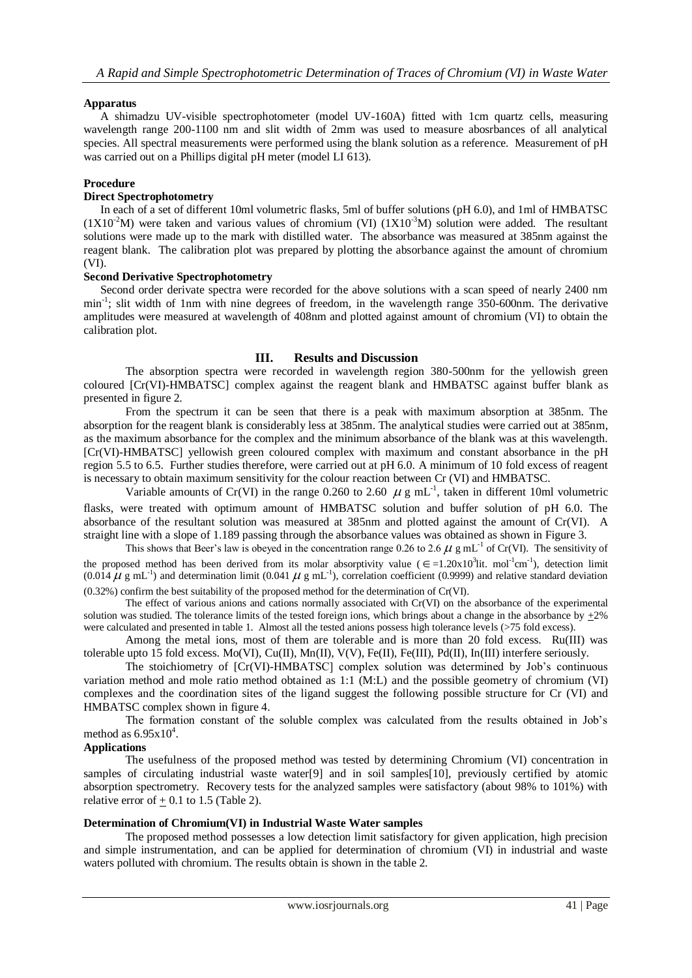## **Apparatus**

A shimadzu UV-visible spectrophotometer (model UV-160A) fitted with 1cm quartz cells, measuring wavelength range 200-1100 nm and slit width of 2mm was used to measure abosrbances of all analytical species. All spectral measurements were performed using the blank solution as a reference. Measurement of pH was carried out on a Phillips digital pH meter (model LI 613).

## **Procedure**

## **Direct Spectrophotometry**

In each of a set of different 10ml volumetric flasks, 5ml of buffer solutions (pH 6.0), and 1ml of HMBATSC  $(1X10<sup>-2</sup>M)$  were taken and various values of chromium (VI)  $(1X10<sup>-3</sup>M)$  solution were added. The resultant solutions were made up to the mark with distilled water. The absorbance was measured at 385nm against the reagent blank. The calibration plot was prepared by plotting the absorbance against the amount of chromium (VI).

## **Second Derivative Spectrophotometry**

Second order derivate spectra were recorded for the above solutions with a scan speed of nearly 2400 nm min<sup>-1</sup>; slit width of 1nm with nine degrees of freedom, in the wavelength range 350-600nm. The derivative amplitudes were measured at wavelength of 408nm and plotted against amount of chromium (VI) to obtain the calibration plot.

## **III. Results and Discussion**

The absorption spectra were recorded in wavelength region 380-500nm for the yellowish green coloured [Cr(VI)-HMBATSC] complex against the reagent blank and HMBATSC against buffer blank as presented in figure 2.

From the spectrum it can be seen that there is a peak with maximum absorption at 385nm. The absorption for the reagent blank is considerably less at 385nm. The analytical studies were carried out at 385nm, as the maximum absorbance for the complex and the minimum absorbance of the blank was at this wavelength. [Cr(VI)-HMBATSC] yellowish green coloured complex with maximum and constant absorbance in the pH region 5.5 to 6.5. Further studies therefore, were carried out at pH 6.0. A minimum of 10 fold excess of reagent is necessary to obtain maximum sensitivity for the colour reaction between Cr (VI) and HMBATSC.

Variable amounts of Cr(VI) in the range 0.260 to 2.60  $\mu$  g mL<sup>-1</sup>, taken in different 10ml volumetric flasks, were treated with optimum amount of HMBATSC solution and buffer solution of pH 6.0. The absorbance of the resultant solution was measured at 385nm and plotted against the amount of Cr(VI). A straight line with a slope of 1.189 passing through the absorbance values was obtained as shown in Figure 3.

This shows that Beer's law is obeyed in the concentration range 0.26 to 2.6  $\mu$  g mL<sup>-1</sup> of Cr(VI). The sensitivity of the proposed method has been derived from its molar absorptivity value  $(\epsilon = 1.20 \times 10^3)$  it. mol<sup>-1</sup>cm<sup>-1</sup>), detection limit  $(0.014 \mu g \text{ mL}^{-1})$  and determination limit  $(0.041 \mu g \text{ mL}^{-1})$ , correlation coefficient  $(0.9999)$  and relative standard deviation (0.32%) confirm the best suitability of the proposed method for the determination of Cr(VI).

The effect of various anions and cations normally associated with Cr(VI) on the absorbance of the experimental solution was studied. The tolerance limits of the tested foreign ions, which brings about a change in the absorbance by  $\pm 2\%$ were calculated and presented in table 1. Almost all the tested anions possess high tolerance levels (>75 fold excess).

Among the metal ions, most of them are tolerable and is more than 20 fold excess. Ru(III) was tolerable upto 15 fold excess. Mo(VI), Cu(II), Mn(II), V(V), Fe(II), Fe(III), Pd(II), In(III) interfere seriously.

The stoichiometry of [Cr(VI)-HMBATSC] complex solution was determined by Job's continuous variation method and mole ratio method obtained as 1:1 (M:L) and the possible geometry of chromium (VI) complexes and the coordination sites of the ligand suggest the following possible structure for Cr (VI) and HMBATSC complex shown in figure 4.

The formation constant of the soluble complex was calculated from the results obtained in Job's method as  $6.95x10^4$ .

## **Applications**

The usefulness of the proposed method was tested by determining Chromium (VI) concentration in samples of circulating industrial waste water[9] and in soil samples[10], previously certified by atomic absorption spectrometry. Recovery tests for the analyzed samples were satisfactory (about 98% to 101%) with relative error of  $+$  0.1 to 1.5 (Table 2).

## **Determination of Chromium(VI) in Industrial Waste Water samples**

The proposed method possesses a low detection limit satisfactory for given application, high precision and simple instrumentation, and can be applied for determination of chromium (VI) in industrial and waste waters polluted with chromium. The results obtain is shown in the table 2.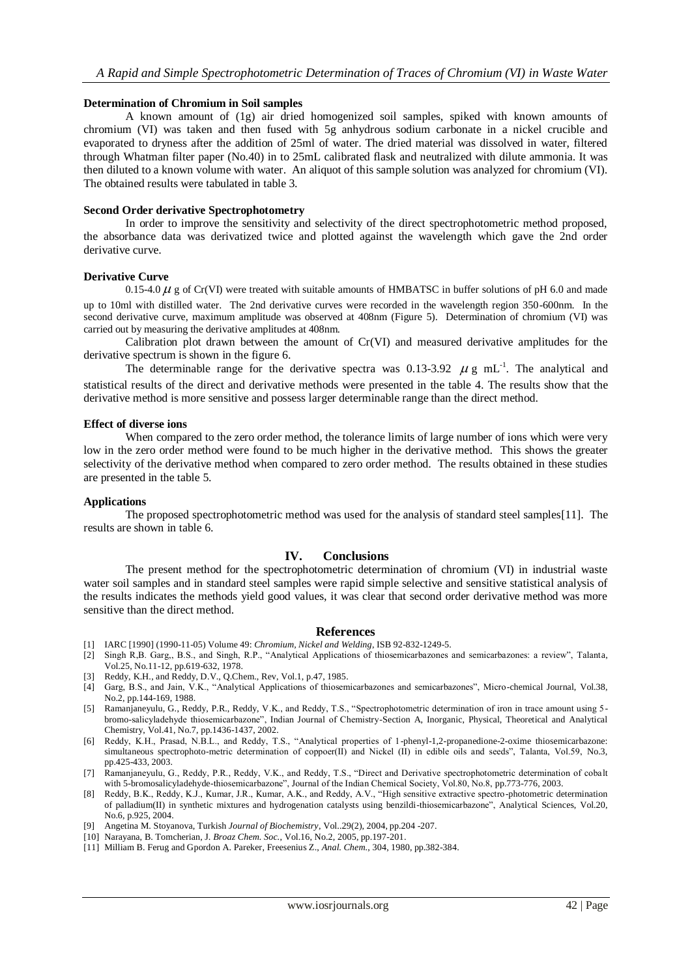#### **Determination of Chromium in Soil samples**

A known amount of (1g) air dried homogenized soil samples, spiked with known amounts of chromium (VI) was taken and then fused with 5g anhydrous sodium carbonate in a nickel crucible and evaporated to dryness after the addition of 25ml of water. The dried material was dissolved in water, filtered through Whatman filter paper (No.40) in to 25mL calibrated flask and neutralized with dilute ammonia. It was then diluted to a known volume with water. An aliquot of this sample solution was analyzed for chromium (VI). The obtained results were tabulated in table 3.

#### **Second Order derivative Spectrophotometry**

In order to improve the sensitivity and selectivity of the direct spectrophotometric method proposed, the absorbance data was derivatized twice and plotted against the wavelength which gave the 2nd order derivative curve.

## **Derivative Curve**

0.15-4.0  $\mu$  g of Cr(VI) were treated with suitable amounts of HMBATSC in buffer solutions of pH 6.0 and made up to 10ml with distilled water. The 2nd derivative curves were recorded in the wavelength region 350-600nm. In the second derivative curve, maximum amplitude was observed at 408nm (Figure 5). Determination of chromium (VI) was carried out by measuring the derivative amplitudes at 408nm.

Calibration plot drawn between the amount of Cr(VI) and measured derivative amplitudes for the derivative spectrum is shown in the figure 6.

The determinable range for the derivative spectra was 0.13-3.92  $\mu$  g mL<sup>-1</sup>. The analytical and statistical results of the direct and derivative methods were presented in the table 4. The results show that the derivative method is more sensitive and possess larger determinable range than the direct method.

#### **Effect of diverse ions**

When compared to the zero order method, the tolerance limits of large number of ions which were very low in the zero order method were found to be much higher in the derivative method. This shows the greater selectivity of the derivative method when compared to zero order method. The results obtained in these studies are presented in the table 5.

#### **Applications**

The proposed spectrophotometric method was used for the analysis of standard steel samples[11]. The results are shown in table 6.

## **IV. Conclusions**

The present method for the spectrophotometric determination of chromium (VI) in industrial waste water soil samples and in standard steel samples were rapid simple selective and sensitive statistical analysis of the results indicates the methods yield good values, it was clear that second order derivative method was more sensitive than the direct method.

#### **References**

- [1] IARC [1990] (1990-11-05) Volume 49: *Chromium, Nickel and Welding*, ISB 92-832-1249-5.
- [2] Singh R,B. Garg,, B.S., and Singh, R.P., "Analytical Applications of thiosemicarbazones and semicarbazones: a review", Talanta, Vol.25, No.11-12, pp.619-632, 1978.
- [3] Reddy, K.H., and Reddy, D.V., Q.Chem., Rev, Vol.1, p.47, 1985.
- [4] Garg, B.S., and Jain, V.K., "Analytical Applications of thiosemicarbazones and semicarbazones", Micro-chemical Journal, Vol.38, No.2, pp.144-169, 1988.
- [5] Ramanjaneyulu, G., Reddy, P.R., Reddy, V.K., and Reddy, T.S., "Spectrophotometric determination of iron in trace amount using 5 bromo-salicyladehyde thiosemicarbazone", Indian Journal of Chemistry-Section A, Inorganic, Physical, Theoretical and Analytical Chemistry, Vol.41, No.7, pp.1436-1437, 2002.
- [6] Reddy, K.H., Prasad, N.B.L., and Reddy, T.S., "Analytical properties of 1-phenyl-1,2-propanedione-2-oxime thiosemicarbazone: simultaneous spectrophoto-metric determination of coppoer(II) and Nickel (II) in edible oils and seeds", Talanta, Vol.59, No.3, pp.425-433, 2003.
- [7] Ramanjaneyulu, G., Reddy, P.R., Reddy, V.K., and Reddy, T.S., "Direct and Derivative spectrophotometric determination of cobalt with 5-bromosalicyladehyde-thiosemicarbazone", Journal of the Indian Chemical Society, Vol.80, No.8, pp.773-776, 2003.
- [8] Reddy, B.K., Reddy, K.J., Kumar, J.R., Kumar, A.K., and Reddy, A.V., "High sensitive extractive spectro-photometric determination of palladium(II) in synthetic mixtures and hydrogenation catalysts using benzildi-thiosemicarbazone", Analytical Sciences, Vol.20, No.6, p.925, 2004.
- [9] Angetina M. Stoyanova, Turkish *Journal of Biochemistry*, Vol..29(2), 2004, pp.204 -207.
- [10] Narayana, B. Tomcherian, J. *Broaz Chem. Soc.*, Vol.16, No.2, 2005, pp.197-201.
- [11] Milliam B. Ferug and Gpordon A. Pareker, Freesenius Z., *Anal. Chem.*, 304, 1980, pp.382-384.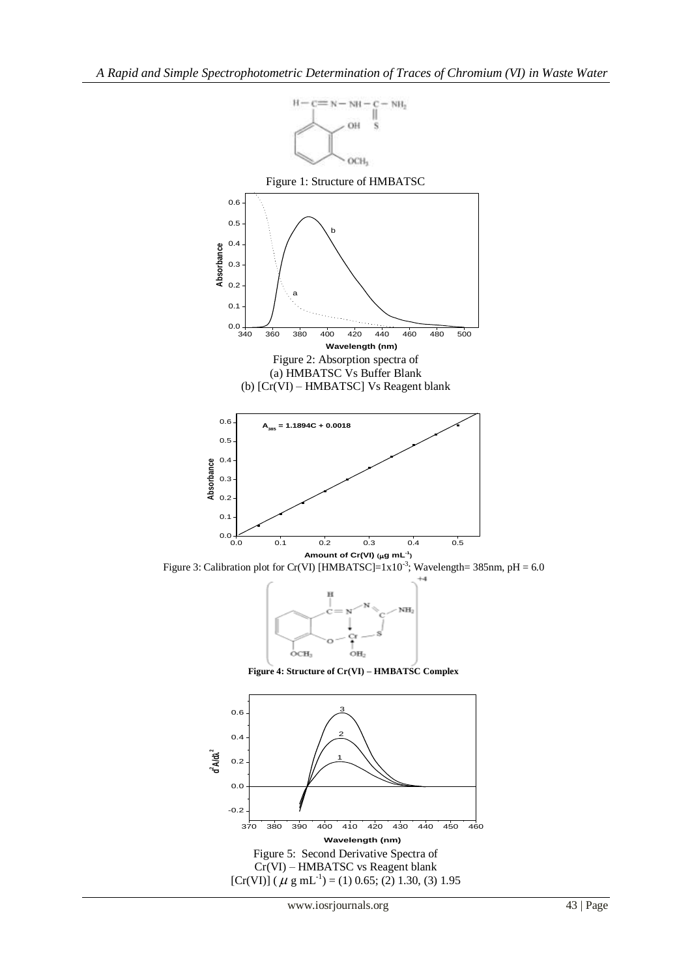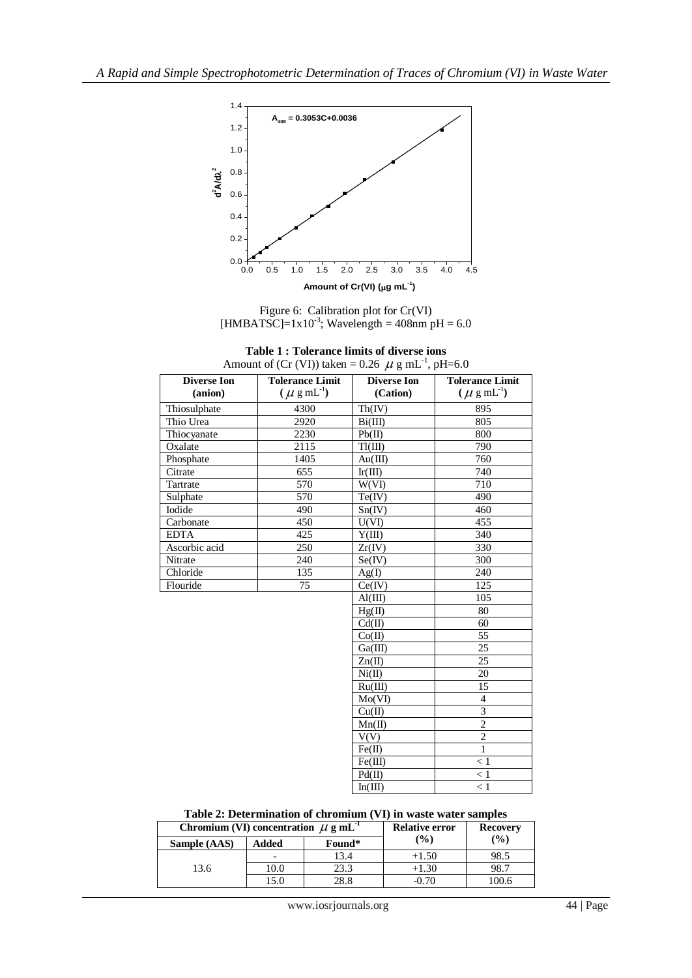

Figure 6: Calibration plot for Cr(VI) [HMBATSC]= $1x10^{-3}$ ; Wavelength = 408nm pH = 6.0

| Table 1: Tolerance limits of diverse ions                       |  |
|-----------------------------------------------------------------|--|
| nount of (Cr (VI)) taken – 0.26 $\mu$ g mI <sup>-1</sup> nH-6.0 |  |

| <b>Tolerance Limit</b><br><b>Diverse Ion</b> |                           | <b>Diverse Ion</b> | <b>Tolerance Limit</b>   |  |
|----------------------------------------------|---------------------------|--------------------|--------------------------|--|
| (anion)                                      | $(\mu \text{ g m}L^{-1})$ | (Cation)           | $(\mu \text{ g m}L^{1})$ |  |
| Thiosulphate                                 | 4300                      | Th(IV)             | 895                      |  |
| Thio Urea                                    | 2920                      | Bi(III)            | 805                      |  |
| Thiocyanate                                  | 2230                      | Pb(II)             | 800                      |  |
| Oxalate                                      | 2115                      | T1(III)            | 790                      |  |
| Phosphate                                    | 1405                      | Au(III)            | 760                      |  |
| Citrate                                      | 655                       | Ir(III)            | 740                      |  |
| Tartrate                                     | 570                       | W(VI)              | 710                      |  |
| Sulphate                                     | 570                       | Te(IV)             | 490                      |  |
| Iodide                                       | 490                       | Sn(IV)             | 460                      |  |
| Carbonate                                    | 450                       | U(VI)              | 455                      |  |
| <b>EDTA</b>                                  | 425                       | Y(III)             | 340                      |  |
| Ascorbic acid                                | $\overline{250}$          | Zr(IV)             | 330                      |  |
| Nitrate                                      | 240                       | Se(IV)             | 300                      |  |
| Chloride                                     | 135                       | Ag(I)              | 240                      |  |
| Flouride                                     | 75                        | Ce(IV)             | 125                      |  |
|                                              |                           | Al(III)            | 105                      |  |
|                                              |                           | Hg(II)             | 80                       |  |
|                                              |                           | Cd(II)             | 60                       |  |
|                                              |                           | Co(II)             | 55                       |  |
|                                              |                           | Ga(III)            | 25                       |  |
|                                              |                           | Zn(II)             | 25                       |  |
|                                              |                           | Ni(II)             | 20                       |  |
|                                              |                           | Ru(III)            | 15                       |  |
|                                              |                           | Mo(VI)             | 4                        |  |
|                                              |                           | Cu(II)             | $\overline{3}$           |  |
|                                              |                           | Mn(II)             | $\overline{c}$           |  |
|                                              |                           | V(V)               | $\overline{2}$           |  |
|                                              |                           | Fe(II)             | $\mathbf{1}$             |  |
|                                              |                           | Fe(III)            | < 1                      |  |
|                                              |                           | Pd(II)             | $<1\,$                   |  |
|                                              |                           | In(III)            | $\leq 1$                 |  |

## **Table 2: Determination of chromium (VI) in waste water samples**

| Chromium (VI) concentration $\mu$ g mL <sup>-1</sup> |       |        | <b>Relative error</b> | <b>Recovery</b> |  |
|------------------------------------------------------|-------|--------|-----------------------|-----------------|--|
| Sample (AAS)                                         | Added | Found* | $\frac{9}{6}$         | $\frac{9}{6}$   |  |
|                                                      |       | 13.4   | $+1.50$               | 98.5            |  |
| 13.6                                                 | 10.0  | 23.3   | +1.30                 | 98.7            |  |
|                                                      | 15.0  | 28.8   | $-0.70$               | 100.6           |  |